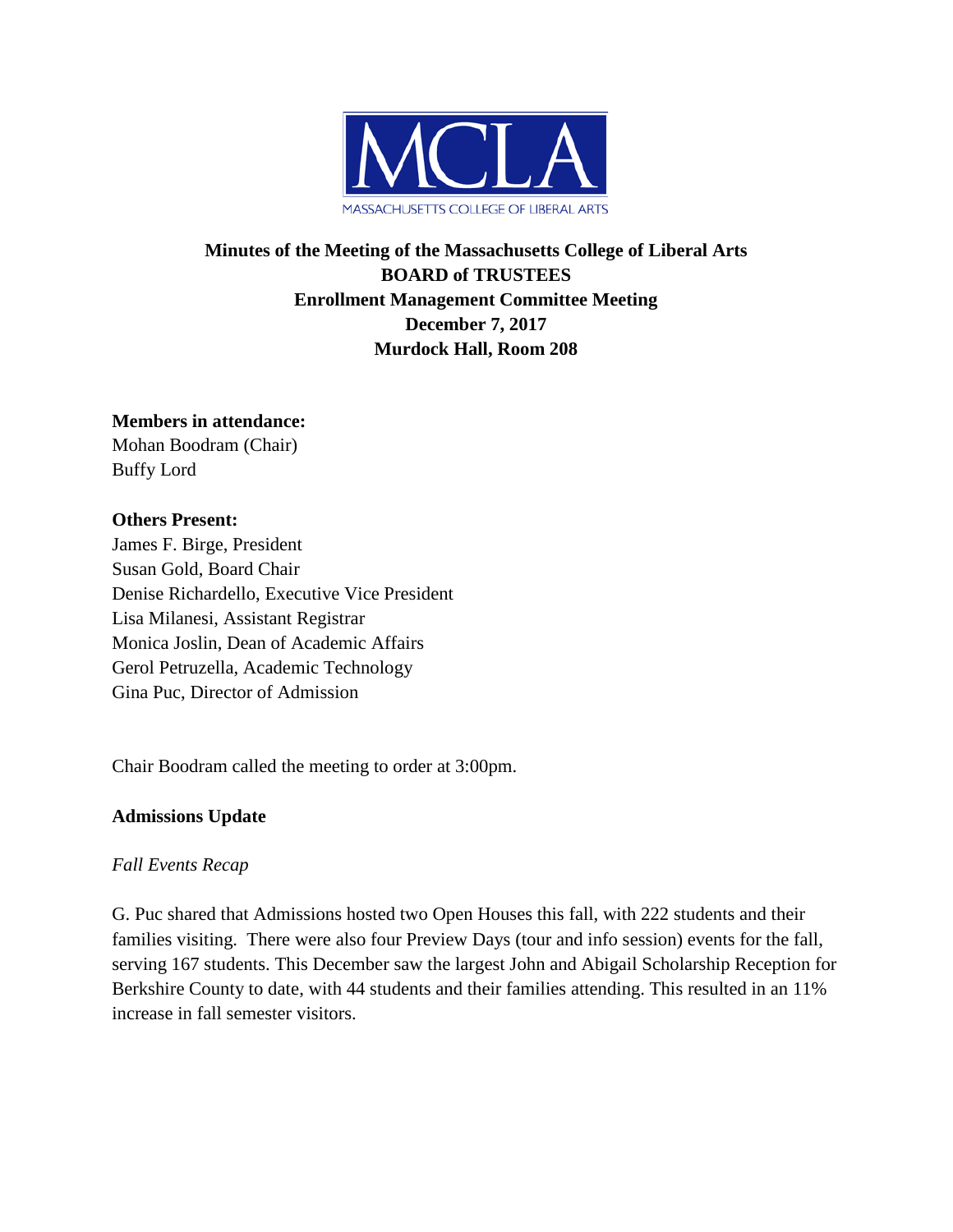

# **Minutes of the Meeting of the Massachusetts College of Liberal Arts BOARD of TRUSTEES Enrollment Management Committee Meeting December 7, 2017 Murdock Hall, Room 208**

#### **Members in attendance:**

Mohan Boodram (Chair) Buffy Lord

## **Others Present:**

James F. Birge, President Susan Gold, Board Chair Denise Richardello, Executive Vice President Lisa Milanesi, Assistant Registrar Monica Joslin, Dean of Academic Affairs Gerol Petruzella, Academic Technology Gina Puc, Director of Admission

Chair Boodram called the meeting to order at 3:00pm.

# **Admissions Update**

# *Fall Events Recap*

G. Puc shared that Admissions hosted two Open Houses this fall, with 222 students and their families visiting. There were also four Preview Days (tour and info session) events for the fall, serving 167 students. This December saw the largest John and Abigail Scholarship Reception for Berkshire County to date, with 44 students and their families attending. This resulted in an 11% increase in fall semester visitors.